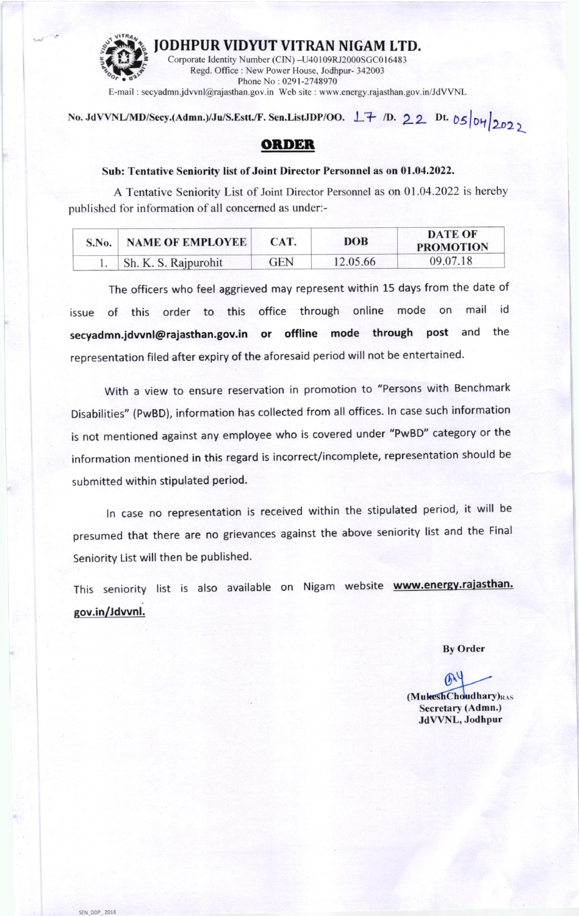

JODHPUR VIDYUT VITRAN NIGAM LTD.<br>Corporate Identity Number (CIN) --U40109RJ2000SGC016483

Regd. Office : New Power House, Jodhpur- 342003 Phone No: 0291-2748970

E-mail : secyadmn jdwnl@rajasthan.gov.in Web site : www.energy.rajasthan.gov.in/JdVVNL

## No. JdVVNL/MD/Secy.(Admn.)/Ju/S.Estt./F. Sen.ListJDP/OO.  $LT$  /D. 22 Dt. 05 04 2022

## **ORDER**

## Sub: Tentative Seniority list of Joint Director Personnel as on 01.04.2022.

A Tentative Seniority List of Joint Director Personnel as on 01.04.2022 is hereby published for information of all concemed as under:-

| S.No. | <b>NAME OF EMPLOYEE</b> | CAT.       | <b>DOB</b> | DATE OF<br><b>PROMOTION</b> |
|-------|-------------------------|------------|------------|-----------------------------|
|       | Sh. K. S. Rajpurohit    | <b>GEN</b> | 12.05.66   | 09.07.18                    |

The officers who feel aggrieved may represent within 15 days from the date of issue of this order to this office through online mode on mail id secyadmn.jdwnl@rajasthan.gov.in or offline mode through post and the representation filed after expiry of the aforesaid period will not be entertained.

with a view to ensure reservation in promotion to "Persons with Benchmark Disabilities" (PwBD), information has collected from all offices. ln case such information is not mentioned against any employee who is covered under "PwBD" category or the information mentioned in this regard is incorrect/incomplete, representation should be submitted within stipulated period.

ln case no representation is received within the stipulated period, it will be presumed that there are no grievances against the above seniority llst and the Final Seniority List will then be published.

This seniority list is also available on Nigam website **www.energy.rajasthan.** gov.in/Jdwnl.

By Order

 $64$  $(Mu$ keshChoudhary) $_{RAS}$ Secretary (Admn.) JdVVNL, Jodhpur